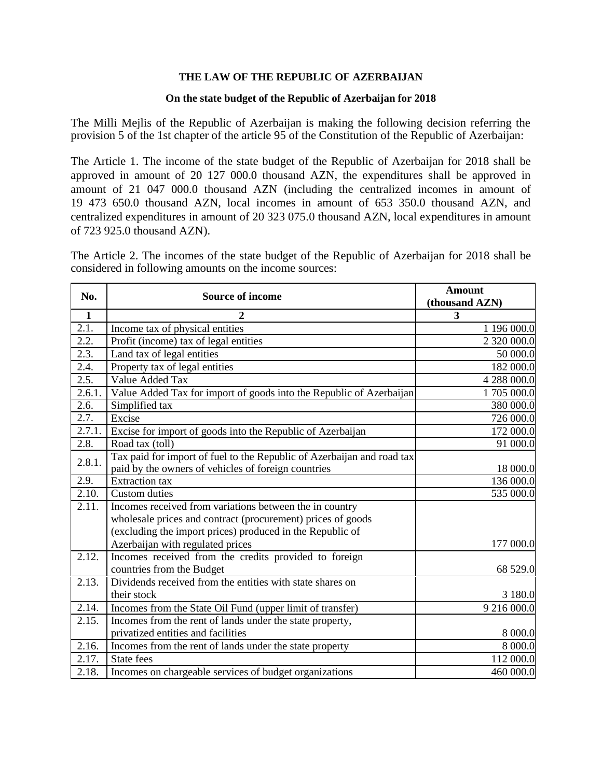## **THE LAW OF THE REPUBLIC OF AZERBAIJAN**

## **On the state budget of the Republic of Azerbaijan for 2018**

The Milli Mejlis of the Republic of Azerbaijan is making the following decision referring the provision 5 of the 1st chapter of the article 95 of the Constitution of the Republic of Azerbaijan:

The Article 1. The income of the state budget of the Republic of Azerbaijan for 2018 shall be approved in amount of 20 127 000.0 thousand AZN, the expenditures shall be approved in amount of 21 047 000.0 thousand AZN (including the centralized incomes in amount of 19 473 650.0 thousand AZN, local incomes in amount of 653 350.0 thousand AZN, and centralized expenditures in amount of 20 323 075.0 thousand AZN, local expenditures in amount of 723 925.0 thousand AZN).

The Article 2. The incomes of the state budget of the Republic of Azerbaijan for 2018 shall be considered in following amounts on the income sources:

| No.          | <b>Source of income</b>                                                                                                       | <b>Amount</b><br>(thousand AZN) |
|--------------|-------------------------------------------------------------------------------------------------------------------------------|---------------------------------|
| $\mathbf{1}$ | 2                                                                                                                             | 3                               |
| 2.1.         | Income tax of physical entities                                                                                               | 1 196 000.0                     |
| 2.2.         | Profit (income) tax of legal entities                                                                                         | 2 320 000.0                     |
| 2.3.         | Land tax of legal entities                                                                                                    | 50 000.0                        |
| 2.4.         | Property tax of legal entities                                                                                                | 182 000.0                       |
| 2.5.         | Value Added Tax                                                                                                               | 4 288 000.0                     |
| 2.6.1.       | Value Added Tax for import of goods into the Republic of Azerbaijan                                                           | 1 705 000.0                     |
| 2.6.         | Simplified tax                                                                                                                | 380 000.0                       |
| 2.7.         | Excise                                                                                                                        | 726 000.0                       |
| 2.7.1.       | Excise for import of goods into the Republic of Azerbaijan                                                                    | 172 000.0                       |
| 2.8.         | Road tax (toll)                                                                                                               | 91 000.0                        |
| 2.8.1.       | Tax paid for import of fuel to the Republic of Azerbaijan and road tax<br>paid by the owners of vehicles of foreign countries | 18 000.0                        |
| 2.9.         | <b>Extraction</b> tax                                                                                                         | 136 000.0                       |
| 2.10.        | Custom duties                                                                                                                 | 535 000.0                       |
| 2.11.        | Incomes received from variations between the in country<br>wholesale prices and contract (procurement) prices of goods        |                                 |
|              | (excluding the import prices) produced in the Republic of<br>Azerbaijan with regulated prices                                 | 177 000.0                       |
| 2.12.        | Incomes received from the credits provided to foreign<br>countries from the Budget                                            | 68 529.0                        |
| 2.13.        | Dividends received from the entities with state shares on<br>their stock                                                      | 3 180.0                         |
| 2.14.        | Incomes from the State Oil Fund (upper limit of transfer)                                                                     | 9 216 000.0                     |
| 2.15.        | Incomes from the rent of lands under the state property,                                                                      |                                 |
|              | privatized entities and facilities                                                                                            | 8 000.0                         |
| 2.16.        | Incomes from the rent of lands under the state property                                                                       | 8 000.0                         |
| 2.17.        | <b>State fees</b>                                                                                                             | 112 000.0                       |
| 2.18.        | Incomes on chargeable services of budget organizations                                                                        | 460 000.0                       |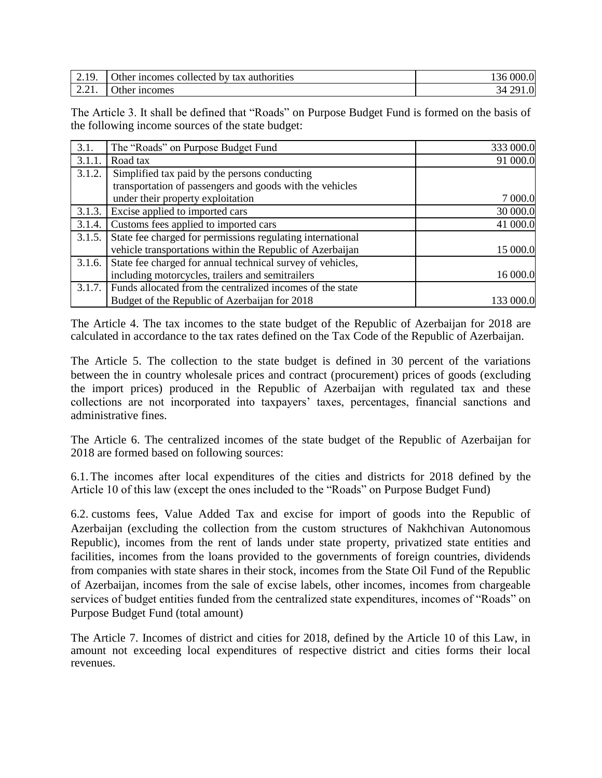| $\sim$ . 17.                                             | Other incomes collected<br>by tax authorities | 000.0<br>136 |
|----------------------------------------------------------|-----------------------------------------------|--------------|
| $\overline{\phantom{m}}\cdot\overline{\phantom{m}}\cdot$ | $\gamma$ ther<br>ncomes                       | 0.1          |

The Article 3. It shall be defined that "Roads" on Purpose Budget Fund is formed on the basis of the following income sources of the state budget:

| 3.1.   | The "Roads" on Purpose Budget Fund                                | 333 000.0 |
|--------|-------------------------------------------------------------------|-----------|
| 3.1.1  | Road tax                                                          | 91 000.0  |
| 3.1.2. | Simplified tax paid by the persons conducting                     |           |
|        | transportation of passengers and goods with the vehicles          |           |
|        | under their property exploitation                                 | 7 000.0   |
| 3.1.3. | Excise applied to imported cars                                   | 30 000.0  |
| 3.1.4. | Customs fees applied to imported cars                             | 41 000.0  |
| 3.1.5. | State fee charged for permissions regulating international        |           |
|        | vehicle transportations within the Republic of Azerbaijan         | 15 000.0  |
|        | 3.1.6. State fee charged for annual technical survey of vehicles, |           |
|        | including motorcycles, trailers and semitrailers                  | 16 000.0  |
| 3.1.7. | Funds allocated from the centralized incomes of the state         |           |
|        | Budget of the Republic of Azerbaijan for 2018                     | 133 000.0 |

The Article 4. The tax incomes to the state budget of the Republic of Azerbaijan for 2018 are calculated in accordance to the tax rates defined on the Tax Code of the Republic of Azerbaijan.

The Article 5. The collection to the state budget is defined in 30 percent of the variations between the in country wholesale prices and contract (procurement) prices of goods (excluding the import prices) produced in the Republic of Azerbaijan with regulated tax and these collections are not incorporated into taxpayers' taxes, percentages, financial sanctions and administrative fines.

The Article 6. The centralized incomes of the state budget of the Republic of Azerbaijan for 2018 are formed based on following sources:

6.1. The incomes after local expenditures of the cities and districts for 2018 defined by the Article 10 of this law (except the ones included to the "Roads" on Purpose Budget Fund)

6.2. customs fees, Value Added Tax and excise for import of goods into the Republic of Azerbaijan (excluding the collection from the custom structures of Nakhchivan Autonomous Republic), incomes from the rent of lands under state property, privatized state entities and facilities, incomes from the loans provided to the governments of foreign countries, dividends from companies with state shares in their stock, incomes from the State Oil Fund of the Republic of Azerbaijan, incomes from the sale of excise labels, other incomes, incomes from chargeable services of budget entities funded from the centralized state expenditures, incomes of "Roads" on Purpose Budget Fund (total amount)

The Article 7. Incomes of district and cities for 2018, defined by the Article 10 of this Law, in amount not exceeding local expenditures of respective district and cities forms their local revenues.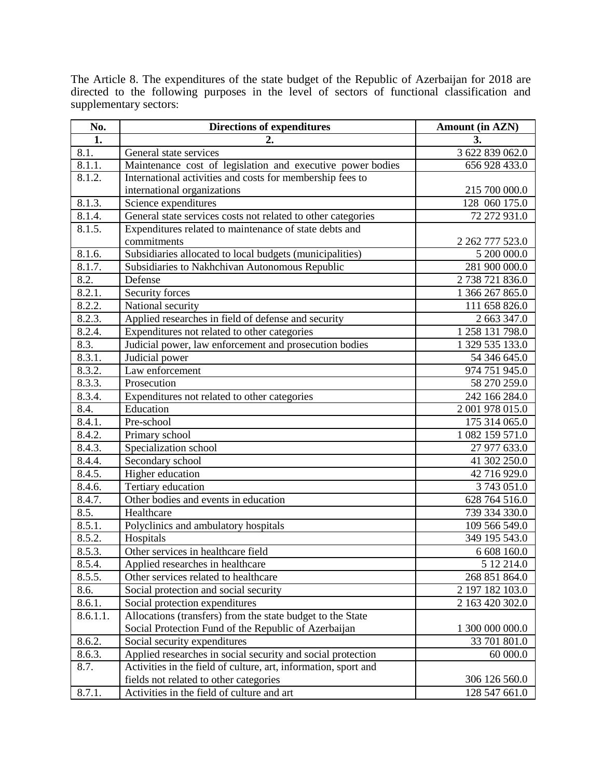The Article 8. The expenditures of the state budget of the Republic of Azerbaijan for 2018 are directed to the following purposes in the level of sectors of functional classification and supplementary sectors:

| No.                | <b>Directions of expenditures</b>                               | <b>Amount (in AZN)</b> |
|--------------------|-----------------------------------------------------------------|------------------------|
| 1.                 | 2.                                                              | 3.                     |
| 8.1.               | General state services                                          | 3 622 839 062.0        |
| 8.1.1.             | Maintenance cost of legislation and executive power bodies      | 656 928 433.0          |
| 8.1.2.             | International activities and costs for membership fees to       |                        |
|                    | international organizations                                     | 215 700 000.0          |
| 8.1.3.             | Science expenditures                                            | 128 060 175.0          |
| 8.1.4.             | General state services costs not related to other categories    | 72 272 931.0           |
| 8.1.5.             | Expenditures related to maintenance of state debts and          |                        |
|                    | commitments                                                     | 2 262 777 523.0        |
| 8.1.6.             | Subsidiaries allocated to local budgets (municipalities)        | 5 200 000.0            |
| 8.1.7.             | Subsidiaries to Nakhchivan Autonomous Republic                  | 281 900 000.0          |
| 8.2.               | Defense                                                         | 2 738 721 836.0        |
| 8.2.1.             | Security forces                                                 | 1 366 267 865.0        |
| 8.2.2.             | National security                                               | 111 658 826.0          |
| 8.2.3.             | Applied researches in field of defense and security             | 2 663 347.0            |
| 8.2.4.             | Expenditures not related to other categories                    | 1 258 131 798.0        |
| 8.3.               | Judicial power, law enforcement and prosecution bodies          | 1 329 535 133.0        |
| 8.3.1.             | Judicial power                                                  | 54 346 645.0           |
| 8.3.2.             | Law enforcement                                                 | 974 751 945.0          |
| 8.3.3.             | Prosecution                                                     | 58 270 259.0           |
| 8.3.4.             | Expenditures not related to other categories                    | 242 166 284.0          |
| 8.4.               | Education                                                       | 2 001 978 015.0        |
| 8.4.1.             | Pre-school                                                      | 175 314 065.0          |
| 8.4.2.             | Primary school                                                  | 1 082 159 571.0        |
| 8.4.3.             | Specialization school                                           | 27 977 633.0           |
| 8.4.4.             | Secondary school                                                | 41 302 250.0           |
| 8.4.5.             | Higher education                                                | 42 716 929.0           |
| 8.4.6.             | Tertiary education                                              | 3 743 051.0            |
| 8.4.7.             | Other bodies and events in education                            | 628 764 516.0          |
| $8.\overline{5}$ . | Healthcare                                                      | 739 334 330.0          |
| 8.5.1.             | Polyclinics and ambulatory hospitals                            | 109 566 549.0          |
| 8.5.2.             | Hospitals                                                       | 349 195 543.0          |
| 8.5.3.             | Other services in healthcare field                              | 6 608 160.0            |
| 8.5.4.             | Applied researches in healthcare                                | 5 12 214.0             |
| 8.5.5.             | Other services related to healthcare                            | 268 851 864.0          |
| 8.6.               | Social protection and social security                           | 2 197 182 103.0        |
| 8.6.1.             | Social protection expenditures                                  | 2 163 420 302.0        |
| 8.6.1.1.           | Allocations (transfers) from the state budget to the State      |                        |
|                    | Social Protection Fund of the Republic of Azerbaijan            | 1 300 000 000.0        |
| 8.6.2.             | Social security expenditures                                    | 33 701 801.0           |
| 8.6.3.             | Applied researches in social security and social protection     | 60 000.0               |
| 8.7.               | Activities in the field of culture, art, information, sport and |                        |
|                    | fields not related to other categories                          | 306 126 560.0          |
| 8.7.1.             | Activities in the field of culture and art                      | 128 547 661.0          |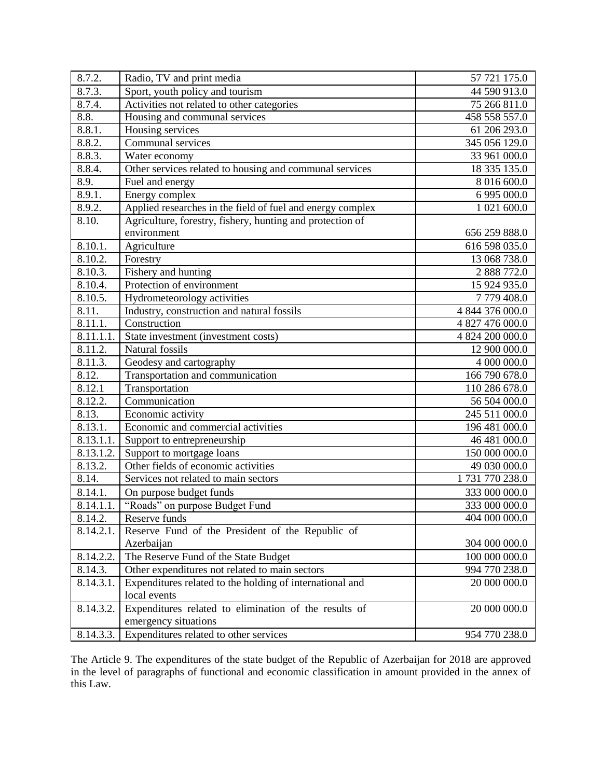| 8.7.2.                  | Radio, TV and print media                                  | 57 721 175.0    |
|-------------------------|------------------------------------------------------------|-----------------|
| 8.7.3.                  | Sport, youth policy and tourism                            | 44 590 913.0    |
| 8.7.4.                  | Activities not related to other categories                 | 75 266 811.0    |
| 8.8.                    | Housing and communal services                              | 458 558 557.0   |
| 8.8.1.                  | Housing services                                           | 61 206 293.0    |
| 8.8.2.                  | Communal services                                          | 345 056 129.0   |
| 8.8.3.                  | Water economy                                              | 33 961 000.0    |
| 8.8.4.                  | Other services related to housing and communal services    | 18 335 135.0    |
| 8.9.                    | Fuel and energy                                            | 8 016 600.0     |
| 8.9.1.                  | Energy complex                                             | 6 995 000.0     |
| 8.9.2.                  | Applied researches in the field of fuel and energy complex | 1 021 600.0     |
| 8.10.                   | Agriculture, forestry, fishery, hunting and protection of  |                 |
|                         | environment                                                | 656 259 888.0   |
| 8.10.1.                 | Agriculture                                                | 616 598 035.0   |
| 8.10.2.                 | Forestry                                                   | 13 068 738.0    |
| 8.10.3.                 | Fishery and hunting                                        | 2 888 772.0     |
| 8.10.4.                 | Protection of environment                                  | 15 924 935.0    |
| 8.10.5.                 | Hydrometeorology activities                                | 7779408.0       |
| 8.11.                   | Industry, construction and natural fossils                 | 4 844 376 000.0 |
| 8.11.1.                 | Construction                                               | 4 827 476 000.0 |
| 8.11.1.1.               | State investment (investment costs)                        | 4 824 200 000.0 |
| 8.11.2.                 | Natural fossils                                            | 12 900 000.0    |
| 8.11.3.                 | Geodesy and cartography                                    | 4 000 000.0     |
| 8.12.                   | Transportation and communication                           | 166 790 678.0   |
| 8.12.1                  | Transportation                                             | 110 286 678.0   |
| 8.12.2.                 | Communication                                              | 56 504 000.0    |
| 8.13.                   | Economic activity                                          | 245 511 000.0   |
| 8.13.1.                 | Economic and commercial activities                         | 196 481 000.0   |
| $\overline{8.13.1.1}$ . | Support to entrepreneurship                                | 46 481 000.0    |
| 8.13.1.2.               | Support to mortgage loans                                  | 150 000 000.0   |
| 8.13.2.                 | Other fields of economic activities                        | 49 030 000.0    |
| 8.14.                   | Services not related to main sectors                       | 1731770238.0    |
| 8.14.1.                 | On purpose budget funds                                    | 333 000 000.0   |
| 8.14.1.1.               | "Roads" on purpose Budget Fund                             | 333 000 000.0   |
| 8.14.2.                 | Reserve funds                                              | 404 000 000.0   |
| 8.14.2.1.               | Reserve Fund of the President of the Republic of           |                 |
|                         | Azerbaijan                                                 | 304 000 000.0   |
| 8.14.2.2.               | The Reserve Fund of the State Budget                       | 100 000 000.0   |
| 8.14.3.                 | Other expenditures not related to main sectors             | 994 770 238.0   |
| 8.14.3.1.               | Expenditures related to the holding of international and   | 20 000 000.0    |
|                         | local events                                               |                 |
| 8.14.3.2.               | Expenditures related to elimination of the results of      | 20 000 000.0    |
|                         | emergency situations                                       |                 |
| 8.14.3.3.               | Expenditures related to other services                     | 954 770 238.0   |

The Article 9. The expenditures of the state budget of the Republic of Azerbaijan for 2018 are approved in the level of paragraphs of functional and economic classification in amount provided in the annex of this Law.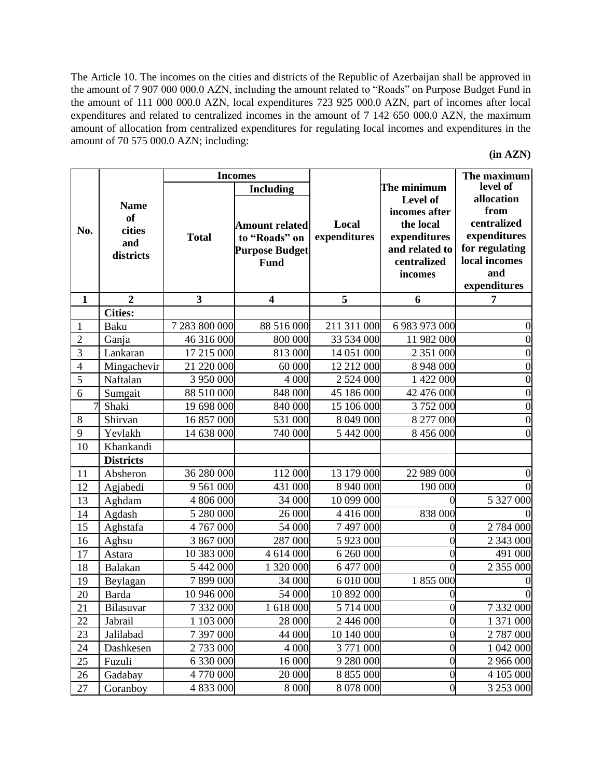The Article 10. The incomes on the cities and districts of the Republic of Azerbaijan shall be approved in the amount of 7 907 000 000.0 AZN, including the amount related to "Roads" on Purpose Budget Fund in the amount of 111 000 000.0 AZN, local expenditures 723 925 000.0 AZN, part of incomes after local expenditures and related to centralized incomes in the amount of 7 142 650 000.0 AZN, the maximum amount of allocation from centralized expenditures for regulating local incomes and expenditures in the amount of 70 575 000.0 AZN; including:

| (in AZN) |  |
|----------|--|
|----------|--|

|                |                                                 |                         | <b>Incomes</b>                                                                                     |                       |                                                                                                                   | The maximum                                                                                                             |
|----------------|-------------------------------------------------|-------------------------|----------------------------------------------------------------------------------------------------|-----------------------|-------------------------------------------------------------------------------------------------------------------|-------------------------------------------------------------------------------------------------------------------------|
| No.            | <b>Name</b><br>of<br>cities<br>and<br>districts | <b>Total</b>            | <b>Including</b><br><b>Amount related</b><br>to "Roads" on<br><b>Purpose Budget</b><br><b>Fund</b> | Local<br>expenditures | The minimum<br>Level of<br>incomes after<br>the local<br>expenditures<br>and related to<br>centralized<br>incomes | level of<br>allocation<br>from<br>centralized<br>expenditures<br>for regulating<br>local incomes<br>and<br>expenditures |
| $\mathbf{1}$   | $\overline{2}$                                  | $\overline{\mathbf{3}}$ | $\overline{\mathbf{4}}$                                                                            | 5                     | 6                                                                                                                 | 7                                                                                                                       |
|                | <b>Cities:</b>                                  |                         |                                                                                                    |                       |                                                                                                                   |                                                                                                                         |
| 1              | Baku                                            | 7 283 800 000           | 88 516 000                                                                                         | 211 311 000           | 6 983 973 000                                                                                                     |                                                                                                                         |
| $\overline{2}$ | Ganja                                           | 46 316 000              | 800 000                                                                                            | 33 534 000            | 11 982 000                                                                                                        |                                                                                                                         |
| 3              | Lankaran                                        | 17 215 000              | 813 000                                                                                            | 14 051 000            | 2 351 000                                                                                                         |                                                                                                                         |
| $\overline{4}$ | Mingachevir                                     | 21 220 000              | 60 000                                                                                             | 12 212 000            | 8 948 000                                                                                                         |                                                                                                                         |
| 5              | Naftalan                                        | 3 950 000               | 4 000                                                                                              | 2 524 000             | 1 422 000                                                                                                         |                                                                                                                         |
| 6              | Sumgait                                         | 88 510 000              | 848 000                                                                                            | 45 186 000            | 42 476 000                                                                                                        |                                                                                                                         |
| $\overline{7}$ | Shaki                                           | 19 698 000              | 840 000                                                                                            | 15 106 000            | 3752000                                                                                                           |                                                                                                                         |
| 8              | Shirvan                                         | 16 857 000              | 531 000                                                                                            | 8 049 000             | 8 277 000                                                                                                         |                                                                                                                         |
| 9              | Yevlakh                                         | 14 638 000              | 740 000                                                                                            | 5 442 000             | 8 456 000                                                                                                         |                                                                                                                         |
| 10             | Khankandi                                       |                         |                                                                                                    |                       |                                                                                                                   |                                                                                                                         |
|                | <b>Districts</b>                                |                         |                                                                                                    |                       |                                                                                                                   |                                                                                                                         |
| 11             | Absheron                                        | 36 280 000              | 112 000                                                                                            | 13 179 000            | 22 989 000                                                                                                        |                                                                                                                         |
| 12             | Agjabedi                                        | 9 5 61 000              | 431 000                                                                                            | 8 940 000             | 190 000                                                                                                           |                                                                                                                         |
| 13             | Aghdam                                          | 4 806 000               | 34 000                                                                                             | 10 099 000            | $\Omega$                                                                                                          | 5 327 000                                                                                                               |
| 14             | Agdash                                          | 5 280 000               | 26 000                                                                                             | 4 4 1 6 0 0 0         | 838 000                                                                                                           |                                                                                                                         |
| 15             | Aghstafa                                        | 4 767 000               | 54 000                                                                                             | 7 497 000             | 0                                                                                                                 | 2 784 000                                                                                                               |
| 16             | Aghsu                                           | 3 867 000               | 287 000                                                                                            | 5 923 000             | 0                                                                                                                 | 2 343 000                                                                                                               |
| 17             | Astara                                          | 10 383 000              | 4 614 000                                                                                          | 6 260 000             | 0                                                                                                                 | 491 000                                                                                                                 |
| 18             | Balakan                                         | 5 442 000               | 1 320 000                                                                                          | 6 477 000             | 0                                                                                                                 | 2 355 000                                                                                                               |
| 19             | Beylagan                                        | 7899000                 | 34 000                                                                                             | 6 010 000             | 1 855 000                                                                                                         |                                                                                                                         |
| 20             | <b>Barda</b>                                    | 10 946 000              | 54 000                                                                                             | 10 892 000            | 0                                                                                                                 |                                                                                                                         |
| 21             | Bilasuvar                                       | 7 332 000               | 1618000                                                                                            | 5 714 000             | $\boldsymbol{0}$                                                                                                  | 7 332 000                                                                                                               |
| 22             | Jabrail                                         | 1 103 000               | 28 000                                                                                             | 2 446 000             | $\overline{0}$                                                                                                    | 1 371 000                                                                                                               |
| 23             | Jalilabad                                       | 7 397 000               | 44 000                                                                                             | 10 140 000            | $\boldsymbol{0}$                                                                                                  | 2 787 000                                                                                                               |
| 24             | Dashkesen                                       | 2733000                 | 4 0 0 0                                                                                            | 3771000               | $\boldsymbol{0}$                                                                                                  | 1 042 000                                                                                                               |
| 25             | Fuzuli                                          | 6 330 000               | 16 000                                                                                             | 9 280 000             | $\boldsymbol{0}$                                                                                                  | 2 966 000                                                                                                               |
| 26             | Gadabay                                         | 4 770 000               | 20 000                                                                                             | 8 855 000             | $\boldsymbol{0}$                                                                                                  | 4 105 000                                                                                                               |
| 27             | Goranboy                                        | 4 833 000               | 8 0 0 0                                                                                            | 8 078 000             | $\overline{0}$                                                                                                    | 3 253 000                                                                                                               |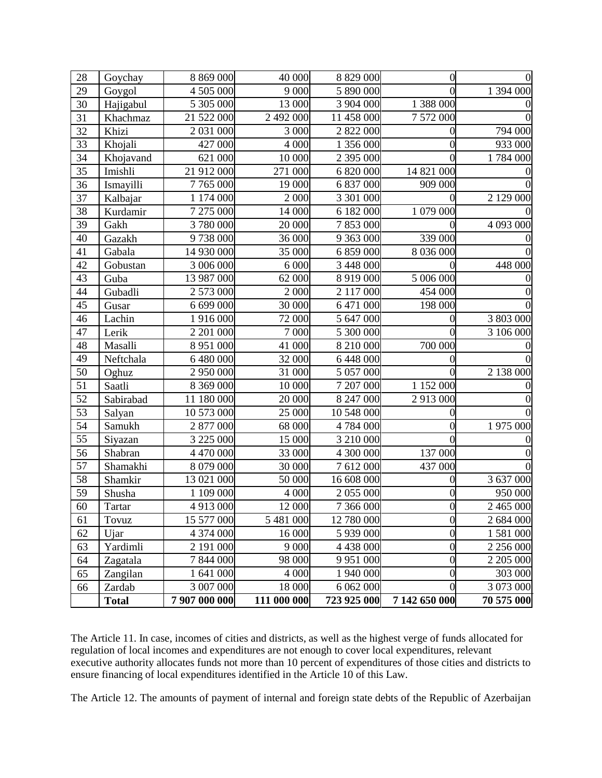| 28 | Goychay      | 8 869 000     | 40 000      | 8 8 29 0 0 0  | 0                |            |
|----|--------------|---------------|-------------|---------------|------------------|------------|
| 29 | Goygol       | 4 505 000     | 9 0 0 0     | 5 890 000     |                  | 1 394 000  |
| 30 | Hajigabul    | 5 305 000     | 13 000      | 3 904 000     | 1 388 000        |            |
| 31 | Khachmaz     | 21 522 000    | 2 492 000   | 11 458 000    | 7 572 000        |            |
| 32 | Khizi        | 2 031 000     | 3 0 0 0     | 2 822 000     | 0                | 794 000    |
| 33 | Khojali      | 427 000       | 4 0 0 0     | 1 356 000     | 0                | 933 000    |
| 34 | Khojavand    | 621 000       | 10 000      | 2 395 000     | 0                | 1784 000   |
| 35 | Imishli      | 21 912 000    | 271 000     | 6 820 000     | 14 821 000       |            |
| 36 | Ismayilli    | 7 765 000     | 19 000      | 6 837 000     | 909 000          |            |
| 37 | Kalbajar     | 1 174 000     | 2 000       | 3 301 000     |                  | 2 129 000  |
| 38 | Kurdamir     | 7 275 000     | 14 000      | 6 182 000     | 1 079 000        |            |
| 39 | Gakh         | 3780000       | 20 000      | 7853000       |                  | 4 093 000  |
| 40 | Gazakh       | 9738000       | 36 000      | 9 363 000     | 339 000          |            |
| 41 | Gabala       | 14 930 000    | 35 000      | 6 859 000     | 8 036 000        |            |
| 42 | Gobustan     | 3 006 000     | 6 0 0 0     | 3 448 000     |                  | 448 000    |
| 43 | Guba         | 13 987 000    | 62 000      | 8 9 1 9 0 0 0 | 5 006 000        |            |
| 44 | Gubadli      | 2 573 000     | 2 000       | 2 117 000     | 454 000          |            |
| 45 | Gusar        | 6 699 000     | 30 000      | 6 471 000     | 198 000          |            |
| 46 | Lachin       | 1 916 000     | 72 000      | 5 647 000     |                  | 3 803 000  |
| 47 | Lerik        | 2 201 000     | 7 000       | 5 300 000     | 0                | 3 106 000  |
| 48 | Masalli      | 8 951 000     | 41 000      | 8 210 000     | 700 000          |            |
| 49 | Neftchala    | 6 480 000     | 32 000      | 6 448 000     |                  |            |
| 50 | Oghuz        | 2 950 000     | 31 000      | 5 057 000     |                  | 2 138 000  |
| 51 | Saatli       | 8 369 000     | 10 000      | 7 207 000     | 1 152 000        |            |
| 52 | Sabirabad    | 11 180 000    | 20 000      | 8 247 000     | 2913000          |            |
| 53 | Salyan       | 10 573 000    | 25 000      | 10 548 000    |                  |            |
| 54 | Samukh       | 2 877 000     | 68 000      | 4 784 000     | 0                | 1975000    |
| 55 | Siyazan      | 3 225 000     | 15 000      | 3 210 000     | $\Omega$         |            |
| 56 | Shabran      | 4 470 000     | 33 000      | 4 300 000     | 137 000          |            |
| 57 | Shamakhi     | 8 079 000     | 30 000      | 7 612 000     | 437 000          |            |
| 58 | Shamkir      | 13 021 000    | 50 000      | 16 608 000    | 0                | 3 637 000  |
| 59 | Shusha       | 1 109 000     | 4 000       | 2 055 000     | 0                | 950 000    |
| 60 | Tartar       | 4 913 000     | 12 000      | 7 366 000     | 0                | 2 465 000  |
| 61 | Tovuz        | 15 577 000    | 5 481 000   | 12 780 000    | $\overline{0}$   | 2 684 000  |
| 62 | Ujar         | 4 374 000     | 16 000      | 5 939 000     | $\overline{0}$   | 1 581 000  |
| 63 | Yardimli     | 2 191 000     | 9 0 0 0     | 4 438 000     | $\boldsymbol{0}$ | 2 256 000  |
| 64 | Zagatala     | 7 844 000     | 98 000      | 9 9 5 1 0 0 0 | $\overline{0}$   | 2 205 000  |
| 65 | Zangilan     | 1 641 000     | 4 0 0 0     | 1 940 000     | $\boldsymbol{0}$ | 303 000    |
| 66 | Zardab       | 3 007 000     | 18 000      | 6 062 000     | $\overline{0}$   | 3 073 000  |
|    | <b>Total</b> | 7 907 000 000 | 111 000 000 | 723 925 000   | 7 142 650 000    | 70 575 000 |

The Article 11. In case, incomes of cities and districts, as well as the highest verge of funds allocated for regulation of local incomes and expenditures are not enough to cover local expenditures, relevant executive authority allocates funds not more than 10 percent of expenditures of those cities and districts to ensure financing of local expenditures identified in the Article 10 of this Law.

The Article 12. The amounts of payment of internal and foreign state debts of the Republic of Azerbaijan